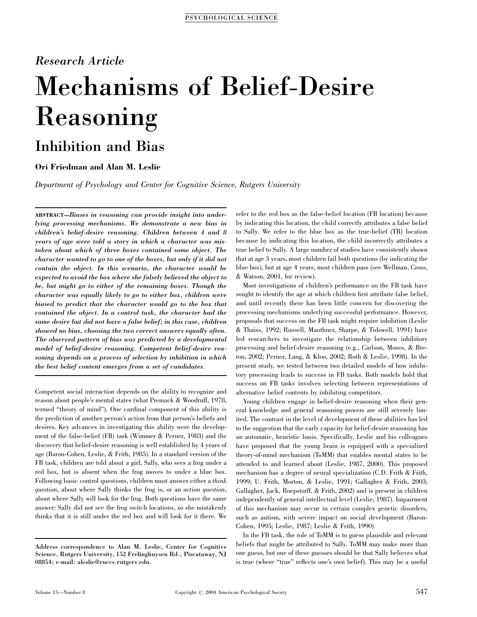# Research Article Mechanisms of Belief-Desire Reasoning

## Inhibition and Bias

### Ori Friedman and Alan M. Leslie

Department of Psychology and Center for Cognitive Science, Rutgers University

ABSTRACT—Biases in reasoning can provide insight into underlying processing mechanisms. We demonstrate a new bias in children's belief-desire reasoning. Children between 4 and 8 years of age were told a story in which a character was mistaken about which of three boxes contained some object. The character wanted to go to one of the boxes, but only if it did not contain the object. In this scenario, the character would be expected to avoid the box where she falsely believed the object to be, but might go to either of the remaining boxes. Though the character was equally likely to go to either box, children were biased to predict that the character would go to the box that contained the object. In a control task, the character had the same desire but did not have a false belief; in this case, children showed no bias, choosing the two correct answers equally often. The observed pattern of bias was predicted by a developmental model of belief-desire reasoning. Competent belief-desire reasoning depends on a process of selection by inhibition in which the best belief content emerges from a set of candidates.

Competent social interaction depends on the ability to recognize and reason about people's mental states (what Premack & Woodruff, 1978, termed ''theory of mind''). One cardinal component of this ability is the prediction of another person's action from that person's beliefs and desires. Key advances in investigating this ability were the development of the false-belief (FB) task (Wimmer & Perner, 1983) and the discovery that belief-desire reasoning is well established by 4 years of age (Baron-Cohen, Leslie, & Frith, 1985). In a standard version of the FB task, children are told about a girl, Sally, who sees a frog under a red box, but is absent when the frog moves to under a blue box. Following basic control questions, children must answer either a think question, about where Sally thinks the frog is, or an *action question*, about where Sally will look for the frog. Both questions have the same answer: Sally did not see the frog switch locations, so she mistakenly thinks that it is still under the red box and will look for it there. We

Address correspondence to Alan M. Leslie, Center for Cognitive Science, Rutgers University, 152 Frelinghuysen Rd., Piscataway, NJ 08854; e-mail: aleslie@ruccs.rutgers.edu.

refer to the red box as the false-belief location (FB location) because by indicating this location, the child correctly attributes a false belief to Sally. We refer to the blue box as the true-belief (TB) location because by indicating this location, the child incorrectly attributes a true belief to Sally. A large number of studies have consistently shown that at age 3 years, most children fail both questions (by indicating the blue box), but at age 4 years, most children pass (see Wellman, Cross, & Watson, 2001, for review).

Most investigations of children's performance on the FB task have sought to identify the age at which children first attribute false belief, and until recently there has been little concern for discovering the processing mechanisms underlying successful performance. However, proposals that success on the FB task might require inhibition (Leslie & Thaiss, 1992; Russell, Mauthner, Sharpe, & Tidswell, 1991) have led researchers to investigate the relationship between inhibitory processing and belief-desire reasoning (e.g., Carlson, Moses, & Breton, 2002; Perner, Lang, & Kloo, 2002; Roth & Leslie, 1998). In the present study, we tested between two detailed models of how inhibitory processing leads to success in FB tasks. Both models hold that success on FB tasks involves selecting between representations of alternative belief contents by inhibiting competitors.

Young children engage in belief-desire reasoning when their general knowledge and general reasoning powers are still severely limited. The contrast in the level of development of these abilities has led to the suggestion that the early capacity for belief-desire reasoning has an automatic, heuristic basis. Specifically, Leslie and his colleagues have proposed that the young brain is equipped with a specialized theory-of-mind mechanism (ToMM) that enables mental states to be attended to and learned about (Leslie, 1987, 2000). This proposed mechanism has a degree of neural specialization (C.D. Frith & Frith, 1999; U. Frith, Morton, & Leslie, 1991; Gallagher & Frith, 2003; Gallagher, Jack, Roepstorff, & Frith, 2002) and is present in children independently of general intellectual level (Leslie, 1987). Impairment of this mechanism may occur in certain complex genetic disorders, such as autism, with severe impact on social development (Baron-Cohen, 1995; Leslie, 1987; Leslie & Frith, 1990).

In the FB task, the role of ToMM is to guess plausible and relevant beliefs that might be attributed to Sally. ToMM may make more than one guess, but one of these guesses should be that Sally believes what is true (where "true" reflects one's own belief). This may be a useful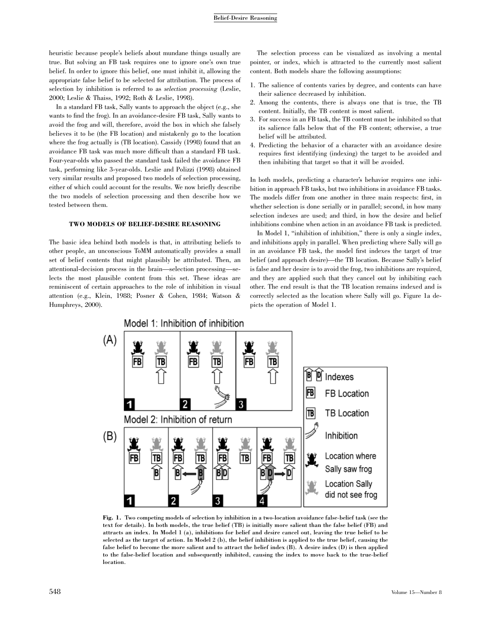heuristic because people's beliefs about mundane things usually are true. But solving an FB task requires one to ignore one's own true belief. In order to ignore this belief, one must inhibit it, allowing the appropriate false belief to be selected for attribution. The process of selection by inhibition is referred to as selection processing (Leslie, 2000; Leslie & Thaiss, 1992; Roth & Leslie, 1998).

In a standard FB task, Sally wants to approach the object (e.g., she wants to find the frog). In an avoidance-desire FB task, Sally wants to avoid the frog and will, therefore, avoid the box in which she falsely believes it to be (the FB location) and mistakenly go to the location where the frog actually is (TB location). Cassidy (1998) found that an avoidance FB task was much more difficult than a standard FB task. Four-year-olds who passed the standard task failed the avoidance FB task, performing like 3-year-olds. Leslie and Polizzi (1998) obtained very similar results and proposed two models of selection processing, either of which could account for the results. We now briefly describe the two models of selection processing and then describe how we tested between them.

#### TWO MODELS OF BELIEF-DESIRE REASONING

The basic idea behind both models is that, in attributing beliefs to other people, an unconscious ToMM automatically provides a small set of belief contents that might plausibly be attributed. Then, an attentional-decision process in the brain—selection processing—selects the most plausible content from this set. These ideas are reminiscent of certain approaches to the role of inhibition in visual attention (e.g., Klein, 1988; Posner & Cohen, 1984; Watson & Humphreys, 2000).

The selection process can be visualized as involving a mental pointer, or index, which is attracted to the currently most salient content. Both models share the following assumptions:

- 1. The salience of contents varies by degree, and contents can have their salience decreased by inhibition.
- 2. Among the contents, there is always one that is true, the TB content. Initially, the TB content is most salient.
- 3. For success in an FB task, the TB content must be inhibited so that its salience falls below that of the FB content; otherwise, a true belief will be attributed.
- 4. Predicting the behavior of a character with an avoidance desire requires first identifying (indexing) the target to be avoided and then inhibiting that target so that it will be avoided.

In both models, predicting a character's behavior requires one inhibition in approach FB tasks, but two inhibitions in avoidance FB tasks. The models differ from one another in three main respects: first, in whether selection is done serially or in parallel; second, in how many selection indexes are used; and third, in how the desire and belief inhibitions combine when action in an avoidance FB task is predicted.

In Model 1, ''inhibition of inhibition,'' there is only a single index, and inhibitions apply in parallel. When predicting where Sally will go in an avoidance FB task, the model first indexes the target of true belief (and approach desire)—the TB location. Because Sally's belief is false and her desire is to avoid the frog, two inhibitions are required, and they are applied such that they cancel out by inhibiting each other. The end result is that the TB location remains indexed and is correctly selected as the location where Sally will go. Figure 1a depicts the operation of Model 1.



Fig. 1. Two competing models of selection by inhibition in a two-location avoidance false-belief task (see the text for details). In both models, the true belief (TB) is initially more salient than the false belief (FB) and attracts an index. In Model 1 (a), inhibitions for belief and desire cancel out, leaving the true belief to be selected as the target of action. In Model 2 (b), the belief inhibition is applied to the true belief, causing the false belief to become the more salient and to attract the belief index (B). A desire index (D) is then applied to the false-belief location and subsequently inhibited, causing the index to move back to the true-belief location.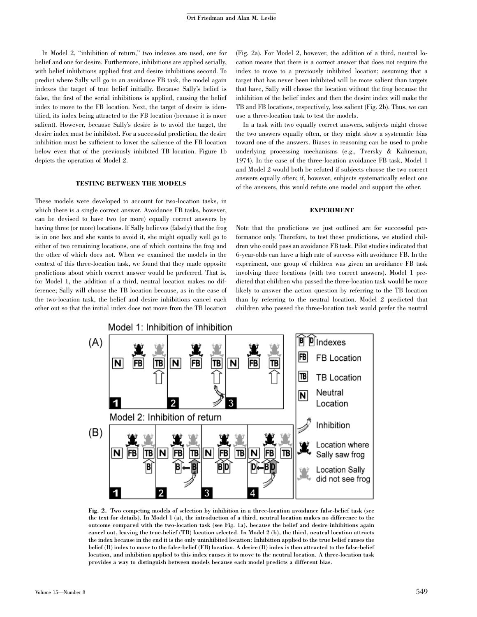In Model 2, "inhibition of return," two indexes are used, one for belief and one for desire. Furthermore, inhibitions are applied serially, with belief inhibitions applied first and desire inhibitions second. To predict where Sally will go in an avoidance FB task, the model again indexes the target of true belief initially. Because Sally's belief is false, the first of the serial inhibitions is applied, causing the belief index to move to the FB location. Next, the target of desire is identified, its index being attracted to the FB location (because it is more salient). However, because Sally's desire is to avoid the target, the desire index must be inhibited. For a successful prediction, the desire inhibition must be sufficient to lower the salience of the FB location below even that of the previously inhibited TB location. Figure 1b depicts the operation of Model 2.

#### TESTING BETWEEN THE MODELS

These models were developed to account for two-location tasks, in which there is a single correct answer. Avoidance FB tasks, however, can be devised to have two (or more) equally correct answers by having three (or more) locations. If Sally believes (falsely) that the frog is in one box and she wants to avoid it, she might equally well go to either of two remaining locations, one of which contains the frog and the other of which does not. When we examined the models in the context of this three-location task, we found that they made opposite predictions about which correct answer would be preferred. That is, for Model 1, the addition of a third, neutral location makes no difference; Sally will choose the TB location because, as in the case of the two-location task, the belief and desire inhibitions cancel each other out so that the initial index does not move from the TB location

(Fig. 2a). For Model 2, however, the addition of a third, neutral location means that there is a correct answer that does not require the index to move to a previously inhibited location; assuming that a target that has never been inhibited will be more salient than targets that have, Sally will choose the location without the frog because the inhibition of the belief index and then the desire index will make the TB and FB locations, respectively, less salient (Fig. 2b). Thus, we can use a three-location task to test the models.

In a task with two equally correct answers, subjects might choose the two answers equally often, or they might show a systematic bias toward one of the answers. Biases in reasoning can be used to probe underlying processing mechanisms (e.g., Tversky & Kahneman, 1974). In the case of the three-location avoidance FB task, Model 1 and Model 2 would both be refuted if subjects choose the two correct answers equally often; if, however, subjects systematically select one of the answers, this would refute one model and support the other.

#### EXPERIMENT

Note that the predictions we just outlined are for successful performance only. Therefore, to test these predictions, we studied children who could pass an avoidance FB task. Pilot studies indicated that 6-year-olds can have a high rate of success with avoidance FB. In the experiment, one group of children was given an avoidance FB task involving three locations (with two correct answers). Model 1 predicted that children who passed the three-location task would be more likely to answer the action question by referring to the TB location than by referring to the neutral location. Model 2 predicted that children who passed the three-location task would prefer the neutral



Fig. 2. Two competing models of selection by inhibition in a three-location avoidance false-belief task (see the text for details). In Model 1 (a), the introduction of a third, neutral location makes no difference to the outcome compared with the two-location task (see Fig. 1a), because the belief and desire inhibitions again cancel out, leaving the true-belief (TB) location selected. In Model 2 (b), the third, neutral location attracts the index because in the end it is the only uninhibited location: Inhibition applied to the true belief causes the belief (B) index to move to the false-belief (FB) location. A desire (D) index is then attracted to the false-belief location, and inhibition applied to this index causes it to move to the neutral location. A three-location task provides a way to distinguish between models because each model predicts a different bias.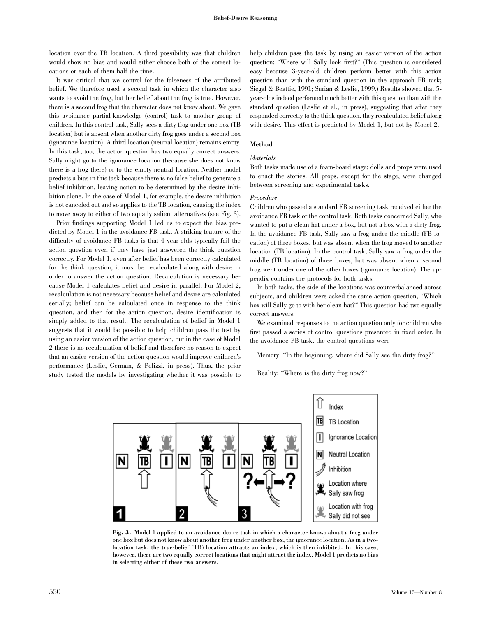location over the TB location. A third possibility was that children would show no bias and would either choose both of the correct locations or each of them half the time.

It was critical that we control for the falseness of the attributed belief. We therefore used a second task in which the character also wants to avoid the frog, but her belief about the frog is true. However, there is a second frog that the character does not know about. We gave this avoidance partial-knowledge (control) task to another group of children. In this control task, Sally sees a dirty frog under one box (TB location) but is absent when another dirty frog goes under a second box (ignorance location). A third location (neutral location) remains empty. In this task, too, the action question has two equally correct answers: Sally might go to the ignorance location (because she does not know there is a frog there) or to the empty neutral location. Neither model predicts a bias in this task because there is no false belief to generate a belief inhibition, leaving action to be determined by the desire inhibition alone. In the case of Model 1, for example, the desire inhibition is not canceled out and so applies to the TB location, causing the index to move away to either of two equally salient alternatives (see Fig. 3).

Prior findings supporting Model 1 led us to expect the bias predicted by Model 1 in the avoidance FB task. A striking feature of the difficulty of avoidance FB tasks is that 4-year-olds typically fail the action question even if they have just answered the think question correctly. For Model 1, even after belief has been correctly calculated for the think question, it must be recalculated along with desire in order to answer the action question. Recalculation is necessary because Model 1 calculates belief and desire in parallel. For Model 2, recalculation is not necessary because belief and desire are calculated serially; belief can be calculated once in response to the think question, and then for the action question, desire identification is simply added to that result. The recalculation of belief in Model 1 suggests that it would be possible to help children pass the test by using an easier version of the action question, but in the case of Model 2 there is no recalculation of belief and therefore no reason to expect that an easier version of the action question would improve children's performance (Leslie, German, & Polizzi, in press). Thus, the prior study tested the models by investigating whether it was possible to

help children pass the task by using an easier version of the action question: ''Where will Sally look first?'' (This question is considered easy because 3-year-old children perform better with this action question than with the standard question in the approach FB task; Siegal & Beattie, 1991; Surian & Leslie, 1999.) Results showed that 5 year-olds indeed performed much better with this question than with the standard question (Leslie et al., in press), suggesting that after they responded correctly to the think question, they recalculated belief along with desire. This effect is predicted by Model 1, but not by Model 2.

#### Method

#### **Materials**

Both tasks made use of a foam-board stage; dolls and props were used to enact the stories. All props, except for the stage, were changed between screening and experimental tasks.

#### Procedure

Children who passed a standard FB screening task received either the avoidance FB task or the control task. Both tasks concerned Sally, who wanted to put a clean hat under a box, but not a box with a dirty frog. In the avoidance FB task, Sally saw a frog under the middle (FB location) of three boxes, but was absent when the frog moved to another location (TB location). In the control task, Sally saw a frog under the middle (TB location) of three boxes, but was absent when a second frog went under one of the other boxes (ignorance location). The appendix contains the protocols for both tasks.

In both tasks, the side of the locations was counterbalanced across subjects, and children were asked the same action question, ''Which box will Sally go to with her clean hat?'' This question had two equally correct answers.

We examined responses to the action question only for children who first passed a series of control questions presented in fixed order. In the avoidance FB task, the control questions were

Memory: ''In the beginning, where did Sally see the dirty frog?''

Reality: ''Where is the dirty frog now?''



Fig. 3. Model 1 applied to an avoidance-desire task in which a character knows about a frog under one box but does not know about another frog under another box, the ignorance location. As in a twolocation task, the true-belief (TB) location attracts an index, which is then inhibited. In this case, however, there are two equally correct locations that might attract the index. Model 1 predicts no bias in selecting either of these two answers.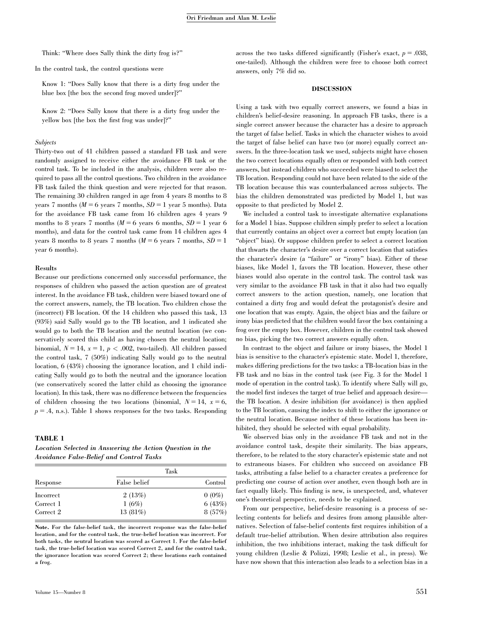Think: ''Where does Sally think the dirty frog is?''

In the control task, the control questions were

Know 1: "Does Sally know that there is a dirty frog under the blue box [the box the second frog moved under]?''

Know 2: ''Does Sally know that there is a dirty frog under the yellow box [the box the first frog was under]?''

#### Subjects

Thirty-two out of 41 children passed a standard FB task and were randomly assigned to receive either the avoidance FB task or the control task. To be included in the analysis, children were also required to pass all the control questions. Two children in the avoidance FB task failed the think question and were rejected for that reason. The remaining 30 children ranged in age from 4 years 8 months to 8 years 7 months ( $M = 6$  years 7 months,  $SD = 1$  year 5 months). Data for the avoidance FB task came from 16 children ages 4 years 9 months to 8 years 7 months ( $M = 6$  years 6 months,  $SD = 1$  year 6 months), and data for the control task came from 14 children ages 4 years 8 months to 8 years 7 months ( $M = 6$  years 7 months,  $SD = 1$ year 6 months).

#### Results

Because our predictions concerned only successful performance, the responses of children who passed the action question are of greatest interest. In the avoidance FB task, children were biased toward one of the correct answers, namely, the TB location. Two children chose the (incorrect) FB location. Of the 14 children who passed this task, 13 (93%) said Sally would go to the TB location, and 1 indicated she would go to both the TB location and the neutral location (we conservatively scored this child as having chosen the neutral location; binomial,  $N = 14$ ,  $x = 1$ ,  $p < .002$ , two-tailed). All children passed the control task, 7 (50%) indicating Sally would go to the neutral location, 6 (43%) choosing the ignorance location, and 1 child indicating Sally would go to both the neutral and the ignorance location (we conservatively scored the latter child as choosing the ignorance location). In this task, there was no difference between the frequencies of children choosing the two locations (binomial,  $N = 14$ ,  $x = 6$ ,  $p = .4$ , n.s.). Table 1 shows responses for the two tasks. Responding

#### TABLE 1

Location Selected in Answering the Action Question in the Avoidance False-Belief and Control Tasks

| Response  | Task         |          |
|-----------|--------------|----------|
|           | False belief | Control  |
| Incorrect | 2(13%)       | $0(0\%)$ |
| Correct 1 | 1(6%)        | 6(43%)   |
| Correct 2 | 13 $(81%)$   | 8(57%)   |

Note. For the false-belief task, the incorrect response was the false-belief location, and for the control task, the true-belief location was incorrect. For both tasks, the neutral location was scored as Correct 1. For the false-belief task, the true-belief location was scored Correct 2, and for the control task, the ignorance location was scored Correct 2; these locations each contained a frog.

across the two tasks differed significantly (Fisher's exact,  $p = .038$ , one-tailed). Although the children were free to choose both correct answers, only 7% did so.

#### DISCUSSION

Using a task with two equally correct answers, we found a bias in children's belief-desire reasoning. In approach FB tasks, there is a single correct answer because the character has a desire to approach the target of false belief. Tasks in which the character wishes to avoid the target of false belief can have two (or more) equally correct answers. In the three-location task we used, subjects might have chosen the two correct locations equally often or responded with both correct answers, but instead children who succeeded were biased to select the TB location. Responding could not have been related to the side of the TB location because this was counterbalanced across subjects. The bias the children demonstrated was predicted by Model 1, but was opposite to that predicted by Model 2.

We included a control task to investigate alternative explanations for a Model 1 bias. Suppose children simply prefer to select a location that currently contains an object over a correct but empty location (an ''object'' bias). Or suppose children prefer to select a correct location that thwarts the character's desire over a correct location that satisfies the character's desire (a ''failure'' or ''irony'' bias). Either of these biases, like Model 1, favors the TB location. However, these other biases would also operate in the control task. The control task was very similar to the avoidance FB task in that it also had two equally correct answers to the action question, namely, one location that contained a dirty frog and would defeat the protagonist's desire and one location that was empty. Again, the object bias and the failure or irony bias predicted that the children would favor the box containing a frog over the empty box. However, children in the control task showed no bias, picking the two correct answers equally often.

In contrast to the object and failure or irony biases, the Model 1 bias is sensitive to the character's epistemic state. Model 1, therefore, makes differing predictions for the two tasks: a TB-location bias in the FB task and no bias in the control task (see Fig. 3 for the Model 1 mode of operation in the control task). To identify where Sally will go, the model first indexes the target of true belief and approach desire the TB location. A desire inhibition (for avoidance) is then applied to the TB location, causing the index to shift to either the ignorance or the neutral location. Because neither of these locations has been inhibited, they should be selected with equal probability.

We observed bias only in the avoidance FB task and not in the avoidance control task, despite their similarity. The bias appears, therefore, to be related to the story character's epistemic state and not to extraneous biases. For children who succeed on avoidance FB tasks, attributing a false belief to a character creates a preference for predicting one course of action over another, even though both are in fact equally likely. This finding is new, is unexpected, and, whatever one's theoretical perspective, needs to be explained.

From our perspective, belief-desire reasoning is a process of selecting contents for beliefs and desires from among plausible alternatives. Selection of false-belief contents first requires inhibition of a default true-belief attribution. When desire attribution also requires inhibition, the two inhibitions interact, making the task difficult for young children (Leslie & Polizzi, 1998; Leslie et al., in press). We have now shown that this interaction also leads to a selection bias in a